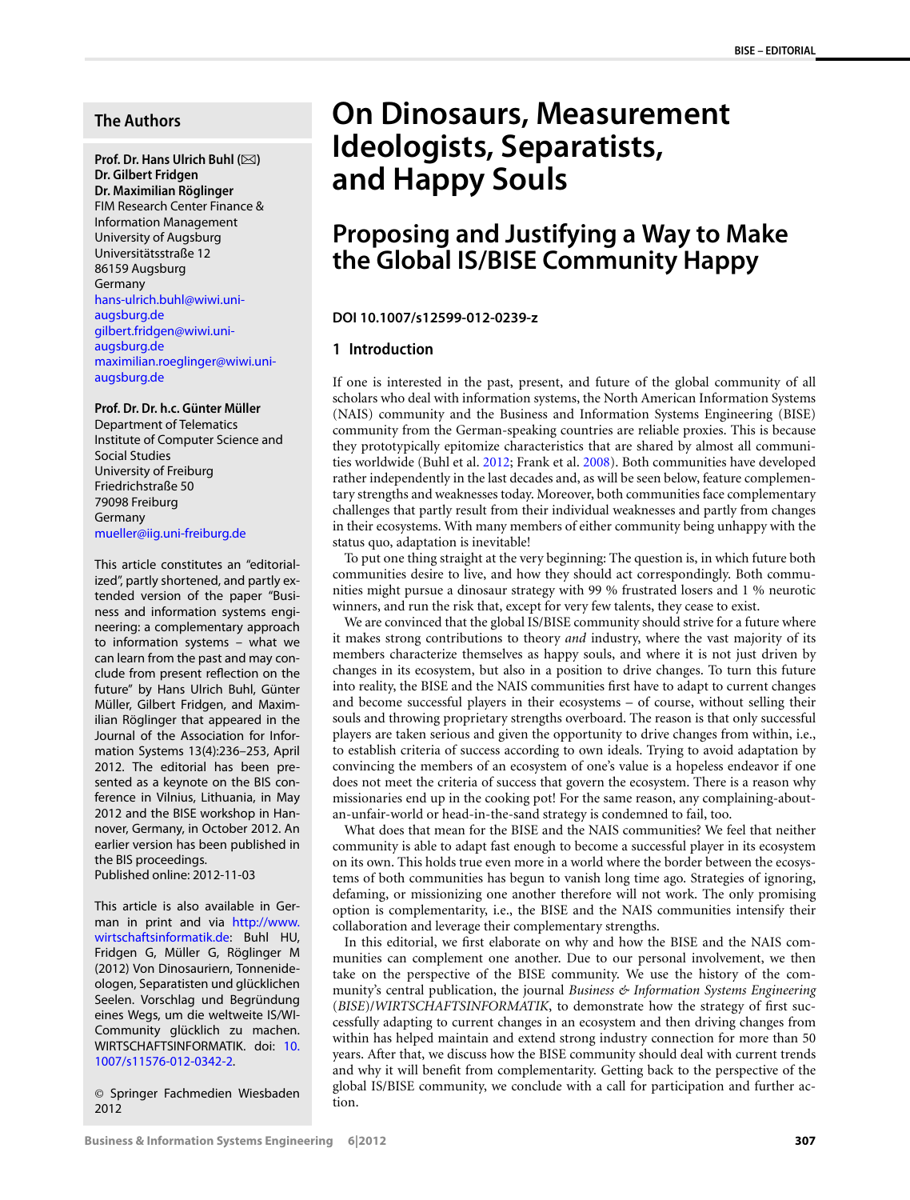## **The Authors**

**Prof. Dr. Hans Ulrich Buhl (**-**) Dr. Gilbert Fridgen Dr. Maximilian Röglinger** FIM Research Center Finance & Information Management University of Augsburg Universitätsstraße 12 86159 Augsburg Germany [hans-ulrich.buhl@wiwi.uni](mailto:hans-ulrich.buhl@wiwi.uni-augsburg.de)[augsburg.de](mailto:hans-ulrich.buhl@wiwi.uni-augsburg.de) [gilbert.fridgen@wiwi.uni](mailto:gilbert.fridgen@wiwi.uni-augsburg.de)[augsburg.de](mailto:gilbert.fridgen@wiwi.uni-augsburg.de) [maximilian.roeglinger@wiwi.uni](mailto:maximilian.roeglinger@wiwi.uni-augsburg.de)[augsburg.de](mailto:maximilian.roeglinger@wiwi.uni-augsburg.de)

#### **Prof. Dr. Dr. h.c. Günter Müller**

Department of Telematics Institute of Computer Science and Social Studies University of Freiburg Friedrichstraße 50 79098 Freiburg Germany [mueller@iig.uni-freiburg.de](mailto:mueller@iig.uni-freiburg.de)

This article constitutes an "editorialized", partly shortened, and partly extended version of the paper "Business and information systems engineering: a complementary approach to information systems – what we can learn from the past and may conclude from present reflection on the future" by Hans Ulrich Buhl, Günter Müller, Gilbert Fridgen, and Maximilian Röglinger that appeared in the Journal of the Association for Information Systems 13(4):236–253, April 2012. The editorial has been presented as a keynote on the BIS conference in Vilnius, Lithuania, in May 2012 and the BISE workshop in Hannover, Germany, in October 2012. An earlier version has been published in the BIS proceedings.

Published online: 2012-11-03

This article is also available in German in print and via [http://www.](http://www.wirtschaftsinformatik.de) [wirtschaftsinformatik.de:](http://www.wirtschaftsinformatik.de) Buhl HU, Fridgen G, Müller G, Röglinger M (2012) Von Dinosauriern, Tonnenideologen, Separatisten und glücklichen Seelen. Vorschlag und Begründung eines Wegs, um die weltweite IS/WI-Community glücklich zu machen. WIRTSCHAFTSINFORMATIK. doi: [10.](http://dx.doi.org/10.1007/s11576-012-0342-2) [1007/s11576-012-0342-2.](http://dx.doi.org/10.1007/s11576-012-0342-2)

© Springer Fachmedien Wiesbaden 2012

# **On Dinosaurs, Measurement Ideologists, Separatists, and Happy Souls**

## **Proposing and Justifying a Way to Make the Global IS/BISE Community Happy**

#### **DOI 10.1007/s12599-012-0239-z**

#### **1 Introduction**

If one is interested in the past, present, and future of the global community of all scholars who deal with information systems, the North American Information Systems (NAIS) community and the Business and Information Systems Engineering (BISE) community from the German-speaking countries are reliable proxies. This is because they prototypically epitomize characteristics that are shared by almost all communities worldwide (Buhl et al. [2012;](#page-7-0) Frank et al. [2008](#page-7-1)). Both communities have developed rather independently in the last decades and, as will be seen below, feature complementary strengths and weaknesses today. Moreover, both communities face complementary challenges that partly result from their individual weaknesses and partly from changes in their ecosystems. With many members of either community being unhappy with the status quo, adaptation is inevitable!

To put one thing straight at the very beginning: The question is, in which future both communities desire to live, and how they should act correspondingly. Both communities might pursue a dinosaur strategy with 99 % frustrated losers and 1 % neurotic winners, and run the risk that, except for very few talents, they cease to exist.

We are convinced that the global IS/BISE community should strive for a future where it makes strong contributions to theory *and* industry, where the vast majority of its members characterize themselves as happy souls, and where it is not just driven by changes in its ecosystem, but also in a position to drive changes. To turn this future into reality, the BISE and the NAIS communities first have to adapt to current changes and become successful players in their ecosystems – of course, without selling their souls and throwing proprietary strengths overboard. The reason is that only successful players are taken serious and given the opportunity to drive changes from within, i.e., to establish criteria of success according to own ideals. Trying to avoid adaptation by convincing the members of an ecosystem of one's value is a hopeless endeavor if one does not meet the criteria of success that govern the ecosystem. There is a reason why missionaries end up in the cooking pot! For the same reason, any complaining-aboutan-unfair-world or head-in-the-sand strategy is condemned to fail, too.

What does that mean for the BISE and the NAIS communities? We feel that neither community is able to adapt fast enough to become a successful player in its ecosystem on its own. This holds true even more in a world where the border between the ecosystems of both communities has begun to vanish long time ago. Strategies of ignoring, defaming, or missionizing one another therefore will not work. The only promising option is complementarity, i.e., the BISE and the NAIS communities intensify their collaboration and leverage their complementary strengths.

In this editorial, we first elaborate on why and how the BISE and the NAIS communities can complement one another. Due to our personal involvement, we then take on the perspective of the BISE community. We use the history of the community's central publication, the journal *Business & Information Systems Engineering* (*BISE*)/*WIRTSCHAFTSINFORMATIK*, to demonstrate how the strategy of first successfully adapting to current changes in an ecosystem and then driving changes from within has helped maintain and extend strong industry connection for more than 50 years. After that, we discuss how the BISE community should deal with current trends and why it will benefit from complementarity. Getting back to the perspective of the global IS/BISE community, we conclude with a call for participation and further action.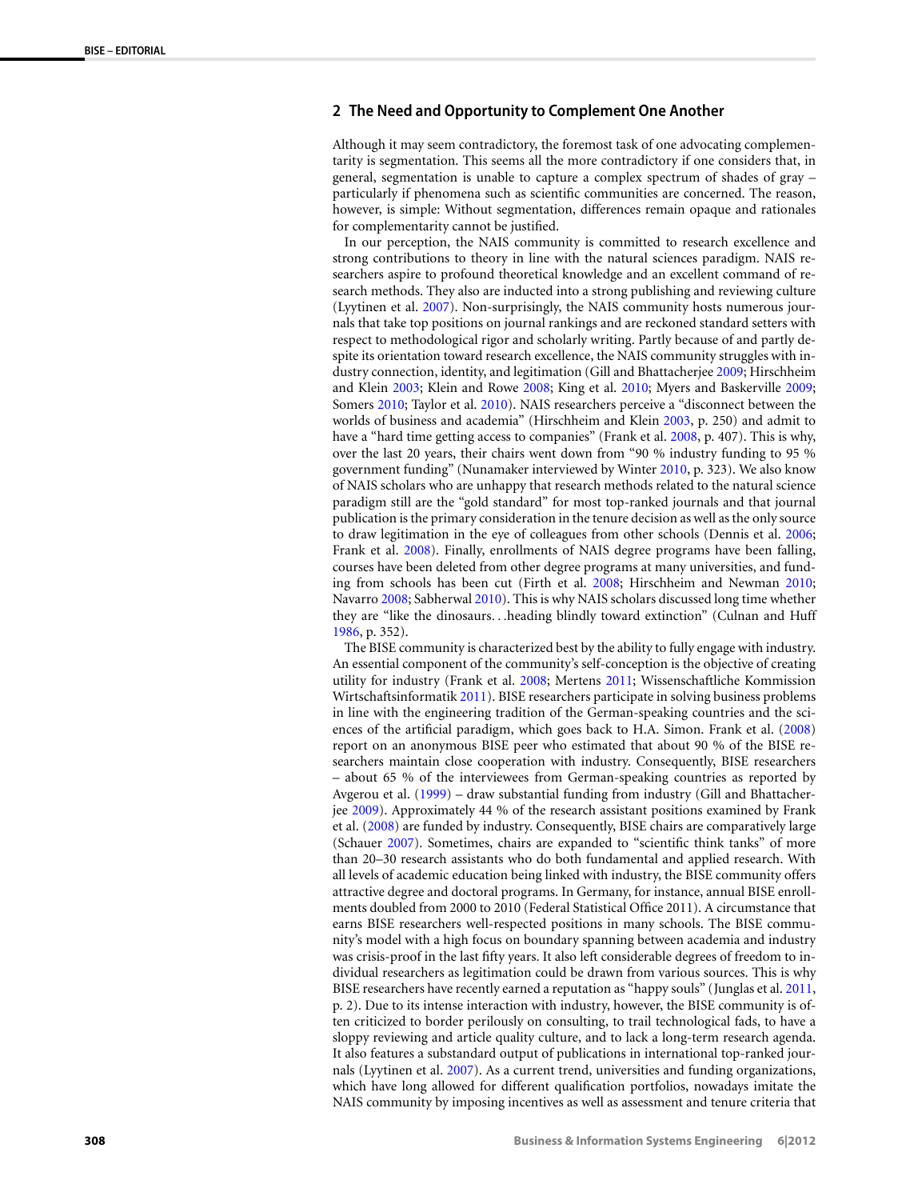## **2 The Need and Opportunity to Complement One Another**

Although it may seem contradictory, the foremost task of one advocating complementarity is segmentation. This seems all the more contradictory if one considers that, in general, segmentation is unable to capture a complex spectrum of shades of gray – particularly if phenomena such as scientific communities are concerned. The reason, however, is simple: Without segmentation, differences remain opaque and rationales for complementarity cannot be justified.

In our perception, the NAIS community is committed to research excellence and strong contributions to theory in line with the natural sciences paradigm. NAIS researchers aspire to profound theoretical knowledge and an excellent command of research methods. They also are inducted into a strong publishing and reviewing culture (Lyytinen et al. [2007](#page-8-0)). Non-surprisingly, the NAIS community hosts numerous journals that take top positions on journal rankings and are reckoned standard setters with respect to methodological rigor and scholarly writing. Partly because of and partly despite its orientation toward research excellence, the NAIS community struggles with industry connection, identity, and legitimation (Gill and Bhattacherjee [2009](#page-7-2); Hirschheim and Klein [2003;](#page-7-3) Klein and Rowe [2008;](#page-8-1) King et al. [2010](#page-8-2); Myers and Baskerville [2009;](#page-8-3) Somers [2010;](#page-8-4) Taylor et al. [2010](#page-8-5)). NAIS researchers perceive a "disconnect between the worlds of business and academia" (Hirschheim and Klein [2003,](#page-7-3) p. 250) and admit to have a "hard time getting access to companies" (Frank et al. [2008](#page-7-1), p. 407). This is why, over the last 20 years, their chairs went down from "90 % industry funding to 95 % government funding" (Nunamaker interviewed by Winter [2010](#page-8-6), p. 323). We also know of NAIS scholars who are unhappy that research methods related to the natural science paradigm still are the "gold standard" for most top-ranked journals and that journal publication is the primary consideration in the tenure decision as well as the only source to draw legitimation in the eye of colleagues from other schools (Dennis et al. [2006;](#page-7-4) Frank et al. [2008](#page-7-1)). Finally, enrollments of NAIS degree programs have been falling, courses have been deleted from other degree programs at many universities, and funding from schools has been cut (Firth et al. [2008;](#page-7-5) Hirschheim and Newman [2010;](#page-7-6) Navarro [2008](#page-8-7); Sabherwal [2010](#page-8-8)). This is why NAIS scholars discussed long time whether they are "like the dinosaurs*...*heading blindly toward extinction" (Culnan and Huff [1986](#page-7-7), p. 352).

The BISE community is characterized best by the ability to fully engage with industry. An essential component of the community's self-conception is the objective of creating utility for industry (Frank et al. [2008;](#page-7-1) Mertens [2011;](#page-8-9) Wissenschaftliche Kommission Wirtschaftsinformatik [2011](#page-8-10)). BISE researchers participate in solving business problems in line with the engineering tradition of the German-speaking countries and the sciences of the artificial paradigm, which goes back to H.A. Simon. Frank et al. ([2008\)](#page-7-1) report on an anonymous BISE peer who estimated that about 90 % of the BISE researchers maintain close cooperation with industry. Consequently, BISE researchers – about 65 % of the interviewees from German-speaking countries as reported by Avgerou et al. ([1999](#page-7-8)) – draw substantial funding from industry (Gill and Bhattacherjee [2009](#page-7-2)). Approximately 44 % of the research assistant positions examined by Frank et al. ([2008\)](#page-7-1) are funded by industry. Consequently, BISE chairs are comparatively large (Schauer [2007](#page-8-11)). Sometimes, chairs are expanded to "scientific think tanks" of more than 20–30 research assistants who do both fundamental and applied research. With all levels of academic education being linked with industry, the BISE community offers attractive degree and doctoral programs. In Germany, for instance, annual BISE enrollments doubled from 2000 to 2010 (Federal Statistical Office 2011). A circumstance that earns BISE researchers well-respected positions in many schools. The BISE community's model with a high focus on boundary spanning between academia and industry was crisis-proof in the last fifty years. It also left considerable degrees of freedom to individual researchers as legitimation could be drawn from various sources. This is why BISE researchers have recently earned a reputation as "happy souls" (Junglas et al. [2011,](#page-7-9) p. 2). Due to its intense interaction with industry, however, the BISE community is often criticized to border perilously on consulting, to trail technological fads, to have a sloppy reviewing and article quality culture, and to lack a long-term research agenda. It also features a substandard output of publications in international top-ranked journals (Lyytinen et al. [2007](#page-8-0)). As a current trend, universities and funding organizations, which have long allowed for different qualification portfolios, nowadays imitate the NAIS community by imposing incentives as well as assessment and tenure criteria that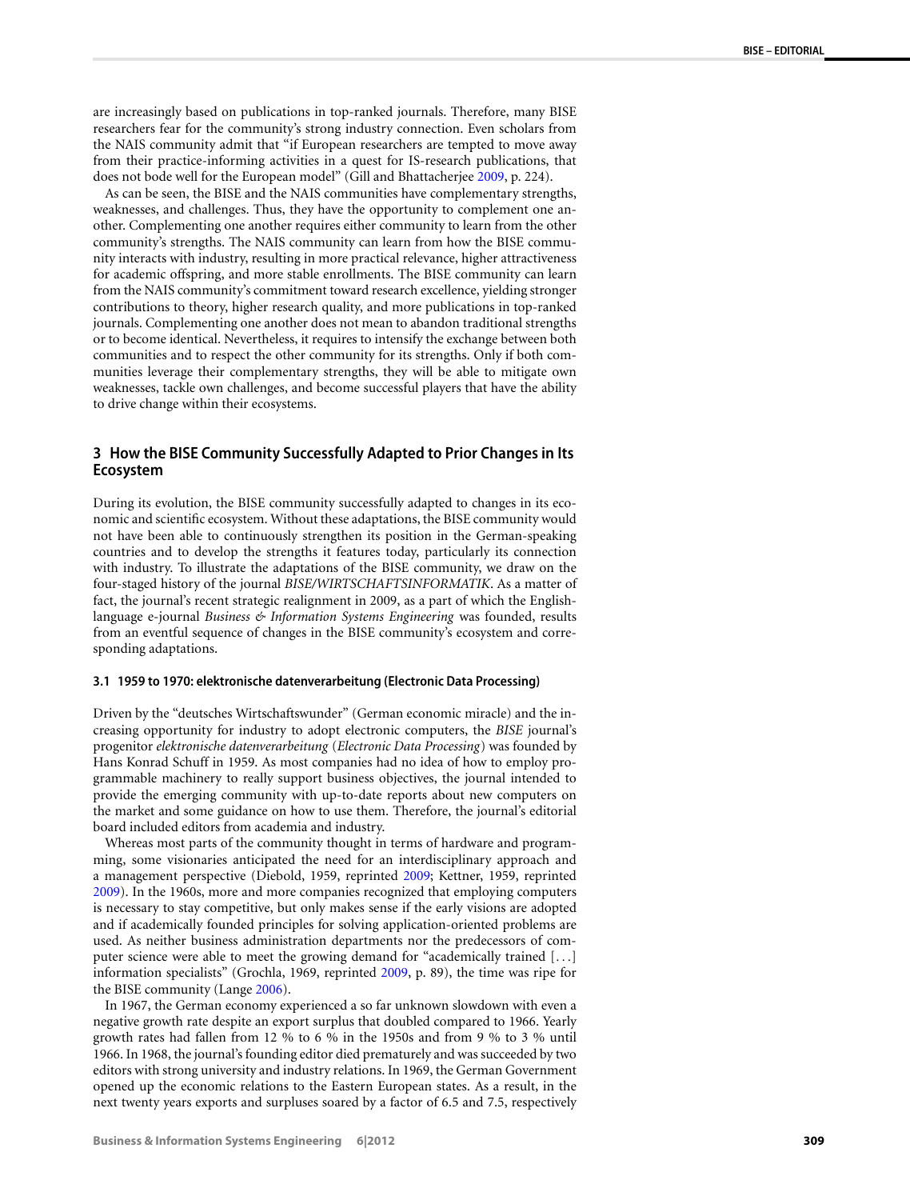are increasingly based on publications in top-ranked journals. Therefore, many BISE researchers fear for the community's strong industry connection. Even scholars from the NAIS community admit that "if European researchers are tempted to move away from their practice-informing activities in a quest for IS-research publications, that does not bode well for the European model" (Gill and Bhattacherjee [2009](#page-7-2), p. 224).

As can be seen, the BISE and the NAIS communities have complementary strengths, weaknesses, and challenges. Thus, they have the opportunity to complement one another. Complementing one another requires either community to learn from the other community's strengths. The NAIS community can learn from how the BISE community interacts with industry, resulting in more practical relevance, higher attractiveness for academic offspring, and more stable enrollments. The BISE community can learn from the NAIS community's commitment toward research excellence, yielding stronger contributions to theory, higher research quality, and more publications in top-ranked journals. Complementing one another does not mean to abandon traditional strengths or to become identical. Nevertheless, it requires to intensify the exchange between both communities and to respect the other community for its strengths. Only if both communities leverage their complementary strengths, they will be able to mitigate own weaknesses, tackle own challenges, and become successful players that have the ability to drive change within their ecosystems.

## **3 How the BISE Community Successfully Adapted to Prior Changes in Its Ecosystem**

During its evolution, the BISE community successfully adapted to changes in its economic and scientific ecosystem. Without these adaptations, the BISE community would not have been able to continuously strengthen its position in the German-speaking countries and to develop the strengths it features today, particularly its connection with industry. To illustrate the adaptations of the BISE community, we draw on the four-staged history of the journal *BISE/WIRTSCHAFTSINFORMATIK*. As a matter of fact, the journal's recent strategic realignment in 2009, as a part of which the Englishlanguage e-journal *Business & Information Systems Engineering* was founded, results from an eventful sequence of changes in the BISE community's ecosystem and corresponding adaptations.

#### **3.1 1959 to 1970: elektronische datenverarbeitung (Electronic Data Processing)**

Driven by the "deutsches Wirtschaftswunder" (German economic miracle) and the increasing opportunity for industry to adopt electronic computers, the *BISE* journal's progenitor *elektronische datenverarbeitung* (*Electronic Data Processing*) was founded by Hans Konrad Schuff in 1959. As most companies had no idea of how to employ programmable machinery to really support business objectives, the journal intended to provide the emerging community with up-to-date reports about new computers on the market and some guidance on how to use them. Therefore, the journal's editorial board included editors from academia and industry.

Whereas most parts of the community thought in terms of hardware and programming, some visionaries anticipated the need for an interdisciplinary approach and a management perspective (Diebold, 1959, reprinted [2009](#page-7-10); Kettner, 1959, reprinted [2009\)](#page-7-11). In the 1960s, more and more companies recognized that employing computers is necessary to stay competitive, but only makes sense if the early visions are adopted and if academically founded principles for solving application-oriented problems are used. As neither business administration departments nor the predecessors of computer science were able to meet the growing demand for "academically trained [*...*] information specialists" (Grochla, 1969, reprinted [2009](#page-7-12), p. 89), the time was ripe for the BISE community (Lange [2006](#page-8-12)).

In 1967, the German economy experienced a so far unknown slowdown with even a negative growth rate despite an export surplus that doubled compared to 1966. Yearly growth rates had fallen from 12 % to 6 % in the 1950s and from 9 % to 3 % until 1966. In 1968, the journal's founding editor died prematurely and was succeeded by two editors with strong university and industry relations. In 1969, the German Government opened up the economic relations to the Eastern European states. As a result, in the next twenty years exports and surpluses soared by a factor of 6.5 and 7.5, respectively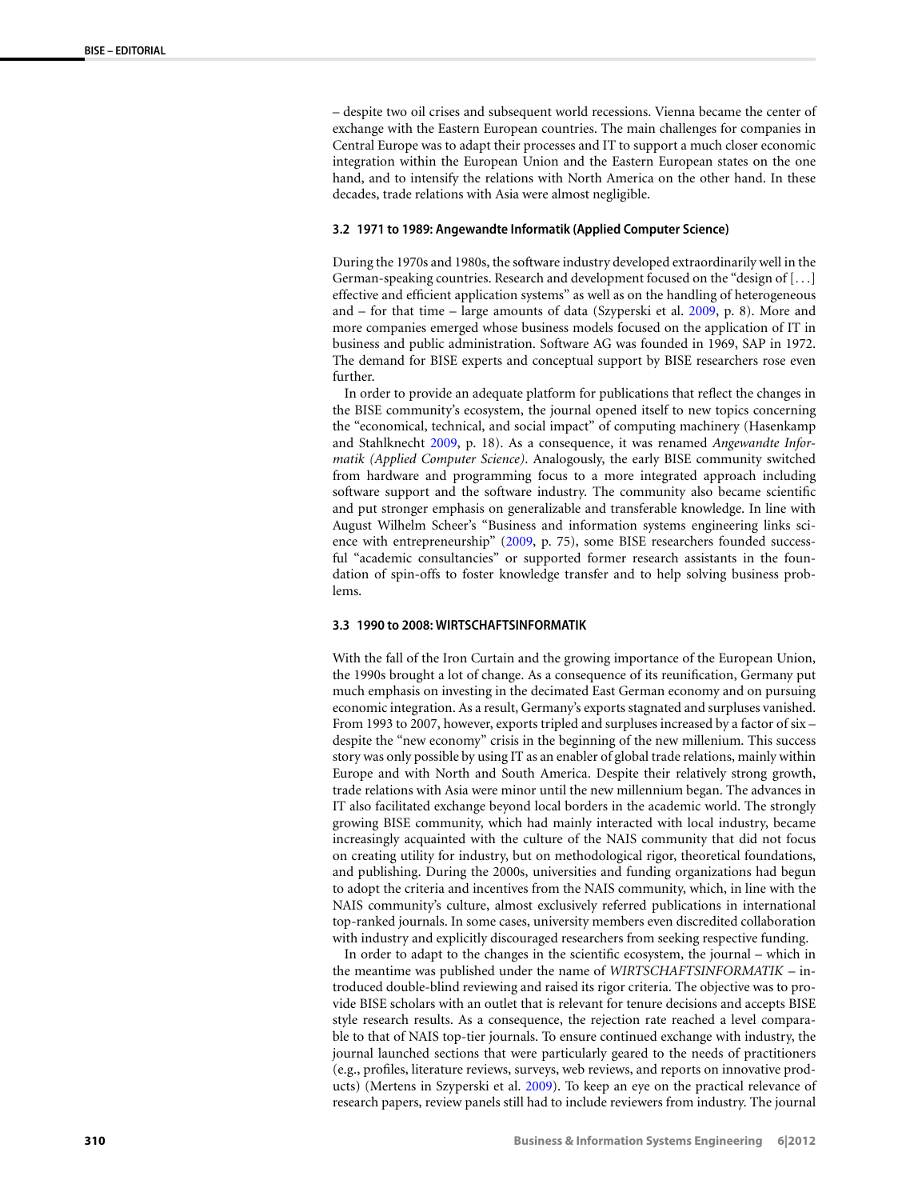– despite two oil crises and subsequent world recessions. Vienna became the center of exchange with the Eastern European countries. The main challenges for companies in Central Europe was to adapt their processes and IT to support a much closer economic integration within the European Union and the Eastern European states on the one hand, and to intensify the relations with North America on the other hand. In these decades, trade relations with Asia were almost negligible.

#### **3.2 1971 to 1989: Angewandte Informatik (Applied Computer Science)**

During the 1970s and 1980s, the software industry developed extraordinarily well in the German-speaking countries. Research and development focused on the "design of [*...*] effective and efficient application systems" as well as on the handling of heterogeneous and – for that time – large amounts of data (Szyperski et al. [2009,](#page-8-13) p. 8). More and more companies emerged whose business models focused on the application of IT in business and public administration. Software AG was founded in 1969, SAP in 1972. The demand for BISE experts and conceptual support by BISE researchers rose even further.

In order to provide an adequate platform for publications that reflect the changes in the BISE community's ecosystem, the journal opened itself to new topics concerning the "economical, technical, and social impact" of computing machinery (Hasenkamp and Stahlknecht [2009](#page-7-13), p. 18). As a consequence, it was renamed *Angewandte Informatik (Applied Computer Science)*. Analogously, the early BISE community switched from hardware and programming focus to a more integrated approach including software support and the software industry. The community also became scientific and put stronger emphasis on generalizable and transferable knowledge. In line with August Wilhelm Scheer's "Business and information systems engineering links science with entrepreneurship" [\(2009](#page-8-14), p. 75), some BISE researchers founded successful "academic consultancies" or supported former research assistants in the foundation of spin-offs to foster knowledge transfer and to help solving business problems.

#### **3.3 1990 to 2008: WIRTSCHAFTSINFORMATIK**

With the fall of the Iron Curtain and the growing importance of the European Union, the 1990s brought a lot of change. As a consequence of its reunification, Germany put much emphasis on investing in the decimated East German economy and on pursuing economic integration. As a result, Germany's exports stagnated and surpluses vanished. From 1993 to 2007, however, exports tripled and surpluses increased by a factor of six – despite the "new economy" crisis in the beginning of the new millenium. This success story was only possible by using IT as an enabler of global trade relations, mainly within Europe and with North and South America. Despite their relatively strong growth, trade relations with Asia were minor until the new millennium began. The advances in IT also facilitated exchange beyond local borders in the academic world. The strongly growing BISE community, which had mainly interacted with local industry, became increasingly acquainted with the culture of the NAIS community that did not focus on creating utility for industry, but on methodological rigor, theoretical foundations, and publishing. During the 2000s, universities and funding organizations had begun to adopt the criteria and incentives from the NAIS community, which, in line with the NAIS community's culture, almost exclusively referred publications in international top-ranked journals. In some cases, university members even discredited collaboration with industry and explicitly discouraged researchers from seeking respective funding.

In order to adapt to the changes in the scientific ecosystem, the journal – which in the meantime was published under the name of *WIRTSCHAFTSINFORMATIK* – introduced double-blind reviewing and raised its rigor criteria. The objective was to provide BISE scholars with an outlet that is relevant for tenure decisions and accepts BISE style research results. As a consequence, the rejection rate reached a level comparable to that of NAIS top-tier journals. To ensure continued exchange with industry, the journal launched sections that were particularly geared to the needs of practitioners (e.g., profiles, literature reviews, surveys, web reviews, and reports on innovative products) (Mertens in Szyperski et al. [2009](#page-8-13)). To keep an eye on the practical relevance of research papers, review panels still had to include reviewers from industry. The journal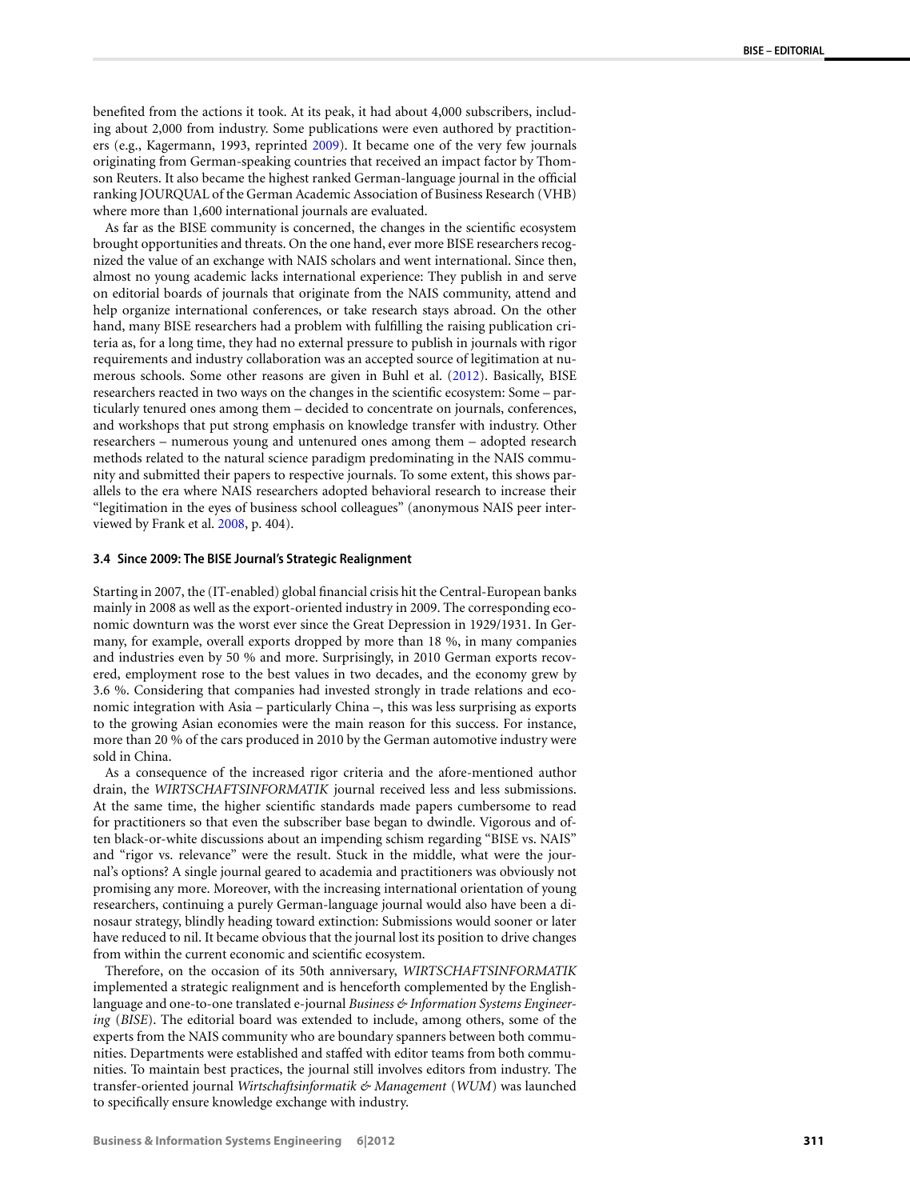benefited from the actions it took. At its peak, it had about 4,000 subscribers, including about 2,000 from industry. Some publications were even authored by practitioners (e.g., Kagermann, 1993, reprinted [2009\)](#page-7-14). It became one of the very few journals originating from German-speaking countries that received an impact factor by Thomson Reuters. It also became the highest ranked German-language journal in the official ranking JOURQUAL of the German Academic Association of Business Research (VHB) where more than 1,600 international journals are evaluated.

As far as the BISE community is concerned, the changes in the scientific ecosystem brought opportunities and threats. On the one hand, ever more BISE researchers recognized the value of an exchange with NAIS scholars and went international. Since then, almost no young academic lacks international experience: They publish in and serve on editorial boards of journals that originate from the NAIS community, attend and help organize international conferences, or take research stays abroad. On the other hand, many BISE researchers had a problem with fulfilling the raising publication criteria as, for a long time, they had no external pressure to publish in journals with rigor requirements and industry collaboration was an accepted source of legitimation at numerous schools. Some other reasons are given in Buhl et al. [\(2012](#page-7-0)). Basically, BISE researchers reacted in two ways on the changes in the scientific ecosystem: Some – particularly tenured ones among them – decided to concentrate on journals, conferences, and workshops that put strong emphasis on knowledge transfer with industry. Other researchers – numerous young and untenured ones among them – adopted research methods related to the natural science paradigm predominating in the NAIS community and submitted their papers to respective journals. To some extent, this shows parallels to the era where NAIS researchers adopted behavioral research to increase their "legitimation in the eyes of business school colleagues" (anonymous NAIS peer interviewed by Frank et al. [2008](#page-7-1), p. 404).

#### **3.4 Since 2009: The BISE Journal's Strategic Realignment**

Starting in 2007, the (IT-enabled) global financial crisis hit the Central-European banks mainly in 2008 as well as the export-oriented industry in 2009. The corresponding economic downturn was the worst ever since the Great Depression in 1929/1931. In Germany, for example, overall exports dropped by more than 18 %, in many companies and industries even by 50 % and more. Surprisingly, in 2010 German exports recovered, employment rose to the best values in two decades, and the economy grew by 3.6 %. Considering that companies had invested strongly in trade relations and economic integration with Asia – particularly China –, this was less surprising as exports to the growing Asian economies were the main reason for this success. For instance, more than 20 % of the cars produced in 2010 by the German automotive industry were sold in China.

As a consequence of the increased rigor criteria and the afore-mentioned author drain, the *WIRTSCHAFTSINFORMATIK* journal received less and less submissions. At the same time, the higher scientific standards made papers cumbersome to read for practitioners so that even the subscriber base began to dwindle. Vigorous and often black-or-white discussions about an impending schism regarding "BISE vs. NAIS" and "rigor vs. relevance" were the result. Stuck in the middle, what were the journal's options? A single journal geared to academia and practitioners was obviously not promising any more. Moreover, with the increasing international orientation of young researchers, continuing a purely German-language journal would also have been a dinosaur strategy, blindly heading toward extinction: Submissions would sooner or later have reduced to nil. It became obvious that the journal lost its position to drive changes from within the current economic and scientific ecosystem.

Therefore, on the occasion of its 50th anniversary, *WIRTSCHAFTSINFORMATIK* implemented a strategic realignment and is henceforth complemented by the Englishlanguage and one-to-one translated e-journal *Business & Information Systems Engineering* (*BISE*). The editorial board was extended to include, among others, some of the experts from the NAIS community who are boundary spanners between both communities. Departments were established and staffed with editor teams from both communities. To maintain best practices, the journal still involves editors from industry. The transfer-oriented journal *Wirtschaftsinformatik & Management* (*WUM*) was launched to specifically ensure knowledge exchange with industry.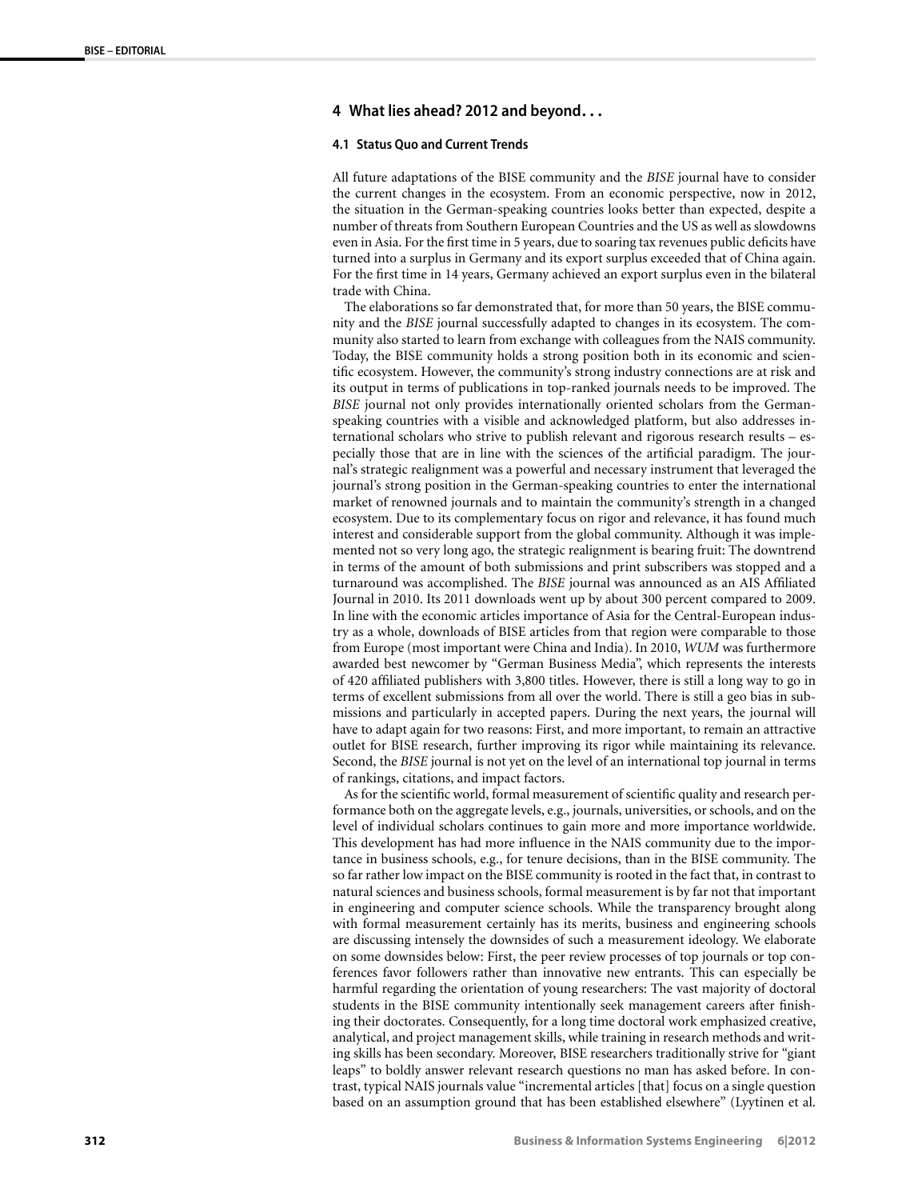## **4 What lies ahead? 2012 and beyond...**

### **4.1 Status Quo and Current Trends**

All future adaptations of the BISE community and the *BISE* journal have to consider the current changes in the ecosystem. From an economic perspective, now in 2012, the situation in the German-speaking countries looks better than expected, despite a number of threats from Southern European Countries and the US as well as slowdowns even in Asia. For the first time in 5 years, due to soaring tax revenues public deficits have turned into a surplus in Germany and its export surplus exceeded that of China again. For the first time in 14 years, Germany achieved an export surplus even in the bilateral trade with China.

The elaborations so far demonstrated that, for more than 50 years, the BISE community and the *BISE* journal successfully adapted to changes in its ecosystem. The community also started to learn from exchange with colleagues from the NAIS community. Today, the BISE community holds a strong position both in its economic and scientific ecosystem. However, the community's strong industry connections are at risk and its output in terms of publications in top-ranked journals needs to be improved. The *BISE* journal not only provides internationally oriented scholars from the Germanspeaking countries with a visible and acknowledged platform, but also addresses international scholars who strive to publish relevant and rigorous research results – especially those that are in line with the sciences of the artificial paradigm. The journal's strategic realignment was a powerful and necessary instrument that leveraged the journal's strong position in the German-speaking countries to enter the international market of renowned journals and to maintain the community's strength in a changed ecosystem. Due to its complementary focus on rigor and relevance, it has found much interest and considerable support from the global community. Although it was implemented not so very long ago, the strategic realignment is bearing fruit: The downtrend in terms of the amount of both submissions and print subscribers was stopped and a turnaround was accomplished. The *BISE* journal was announced as an AIS Affiliated Journal in 2010. Its 2011 downloads went up by about 300 percent compared to 2009. In line with the economic articles importance of Asia for the Central-European industry as a whole, downloads of BISE articles from that region were comparable to those from Europe (most important were China and India). In 2010, *WUM* was furthermore awarded best newcomer by "German Business Media", which represents the interests of 420 affiliated publishers with 3,800 titles. However, there is still a long way to go in terms of excellent submissions from all over the world. There is still a geo bias in submissions and particularly in accepted papers. During the next years, the journal will have to adapt again for two reasons: First, and more important, to remain an attractive outlet for BISE research, further improving its rigor while maintaining its relevance. Second, the *BISE* journal is not yet on the level of an international top journal in terms of rankings, citations, and impact factors.

As for the scientific world, formal measurement of scientific quality and research performance both on the aggregate levels, e.g., journals, universities, or schools, and on the level of individual scholars continues to gain more and more importance worldwide. This development has had more influence in the NAIS community due to the importance in business schools, e.g., for tenure decisions, than in the BISE community. The so far rather low impact on the BISE community is rooted in the fact that, in contrast to natural sciences and business schools, formal measurement is by far not that important in engineering and computer science schools. While the transparency brought along with formal measurement certainly has its merits, business and engineering schools are discussing intensely the downsides of such a measurement ideology. We elaborate on some downsides below: First, the peer review processes of top journals or top conferences favor followers rather than innovative new entrants. This can especially be harmful regarding the orientation of young researchers: The vast majority of doctoral students in the BISE community intentionally seek management careers after finishing their doctorates. Consequently, for a long time doctoral work emphasized creative, analytical, and project management skills, while training in research methods and writing skills has been secondary. Moreover, BISE researchers traditionally strive for "giant leaps" to boldly answer relevant research questions no man has asked before. In contrast, typical NAIS journals value "incremental articles [that] focus on a single question based on an assumption ground that has been established elsewhere" (Lyytinen et al.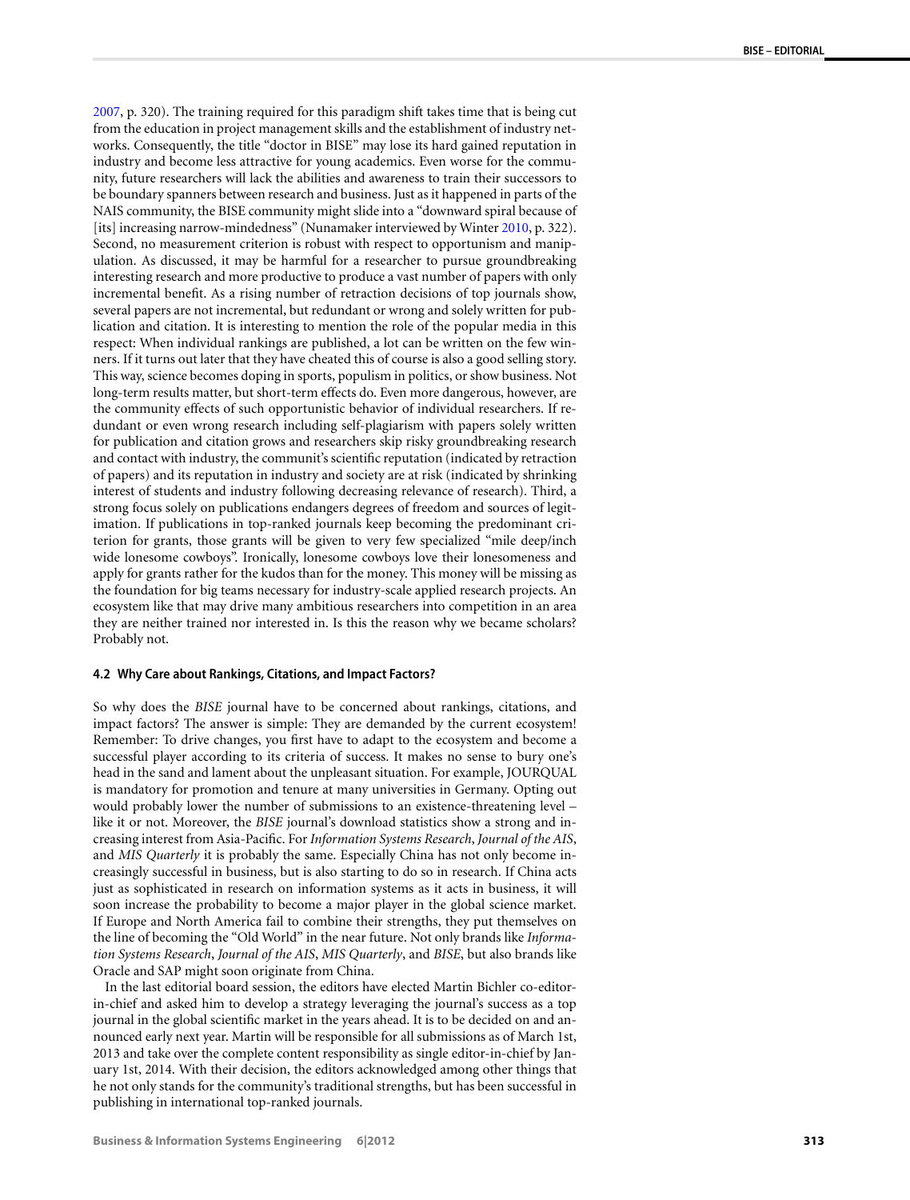[2007,](#page-8-0) p. 320). The training required for this paradigm shift takes time that is being cut from the education in project management skills and the establishment of industry networks. Consequently, the title "doctor in BISE" may lose its hard gained reputation in industry and become less attractive for young academics. Even worse for the community, future researchers will lack the abilities and awareness to train their successors to be boundary spanners between research and business. Just as it happened in parts of the NAIS community, the BISE community might slide into a "downward spiral because of [its] increasing narrow-mindedness" (Nunamaker interviewed by Winter [2010](#page-8-6), p. 322). Second, no measurement criterion is robust with respect to opportunism and manipulation. As discussed, it may be harmful for a researcher to pursue groundbreaking interesting research and more productive to produce a vast number of papers with only incremental benefit. As a rising number of retraction decisions of top journals show, several papers are not incremental, but redundant or wrong and solely written for publication and citation. It is interesting to mention the role of the popular media in this respect: When individual rankings are published, a lot can be written on the few winners. If it turns out later that they have cheated this of course is also a good selling story. This way, science becomes doping in sports, populism in politics, or show business. Not long-term results matter, but short-term effects do. Even more dangerous, however, are the community effects of such opportunistic behavior of individual researchers. If redundant or even wrong research including self-plagiarism with papers solely written for publication and citation grows and researchers skip risky groundbreaking research and contact with industry, the communit's scientific reputation (indicated by retraction of papers) and its reputation in industry and society are at risk (indicated by shrinking interest of students and industry following decreasing relevance of research). Third, a strong focus solely on publications endangers degrees of freedom and sources of legitimation. If publications in top-ranked journals keep becoming the predominant criterion for grants, those grants will be given to very few specialized "mile deep/inch wide lonesome cowboys". Ironically, lonesome cowboys love their lonesomeness and apply for grants rather for the kudos than for the money. This money will be missing as the foundation for big teams necessary for industry-scale applied research projects. An ecosystem like that may drive many ambitious researchers into competition in an area they are neither trained nor interested in. Is this the reason why we became scholars? Probably not.

#### **4.2 Why Care about Rankings, Citations, and Impact Factors?**

So why does the *BISE* journal have to be concerned about rankings, citations, and impact factors? The answer is simple: They are demanded by the current ecosystem! Remember: To drive changes, you first have to adapt to the ecosystem and become a successful player according to its criteria of success. It makes no sense to bury one's head in the sand and lament about the unpleasant situation. For example, JOURQUAL is mandatory for promotion and tenure at many universities in Germany. Opting out would probably lower the number of submissions to an existence-threatening level – like it or not. Moreover, the *BISE* journal's download statistics show a strong and increasing interest from Asia-Pacific. For *Information Systems Research*, *Journal of the AIS*, and *MIS Quarterly* it is probably the same. Especially China has not only become increasingly successful in business, but is also starting to do so in research. If China acts just as sophisticated in research on information systems as it acts in business, it will soon increase the probability to become a major player in the global science market. If Europe and North America fail to combine their strengths, they put themselves on the line of becoming the "Old World" in the near future. Not only brands like *Information Systems Research*, *Journal of the AIS*, *MIS Quarterly*, and *BISE*, but also brands like Oracle and SAP might soon originate from China.

In the last editorial board session, the editors have elected Martin Bichler co-editorin-chief and asked him to develop a strategy leveraging the journal's success as a top journal in the global scientific market in the years ahead. It is to be decided on and announced early next year. Martin will be responsible for all submissions as of March 1st, 2013 and take over the complete content responsibility as single editor-in-chief by January 1st, 2014. With their decision, the editors acknowledged among other things that he not only stands for the community's traditional strengths, but has been successful in publishing in international top-ranked journals.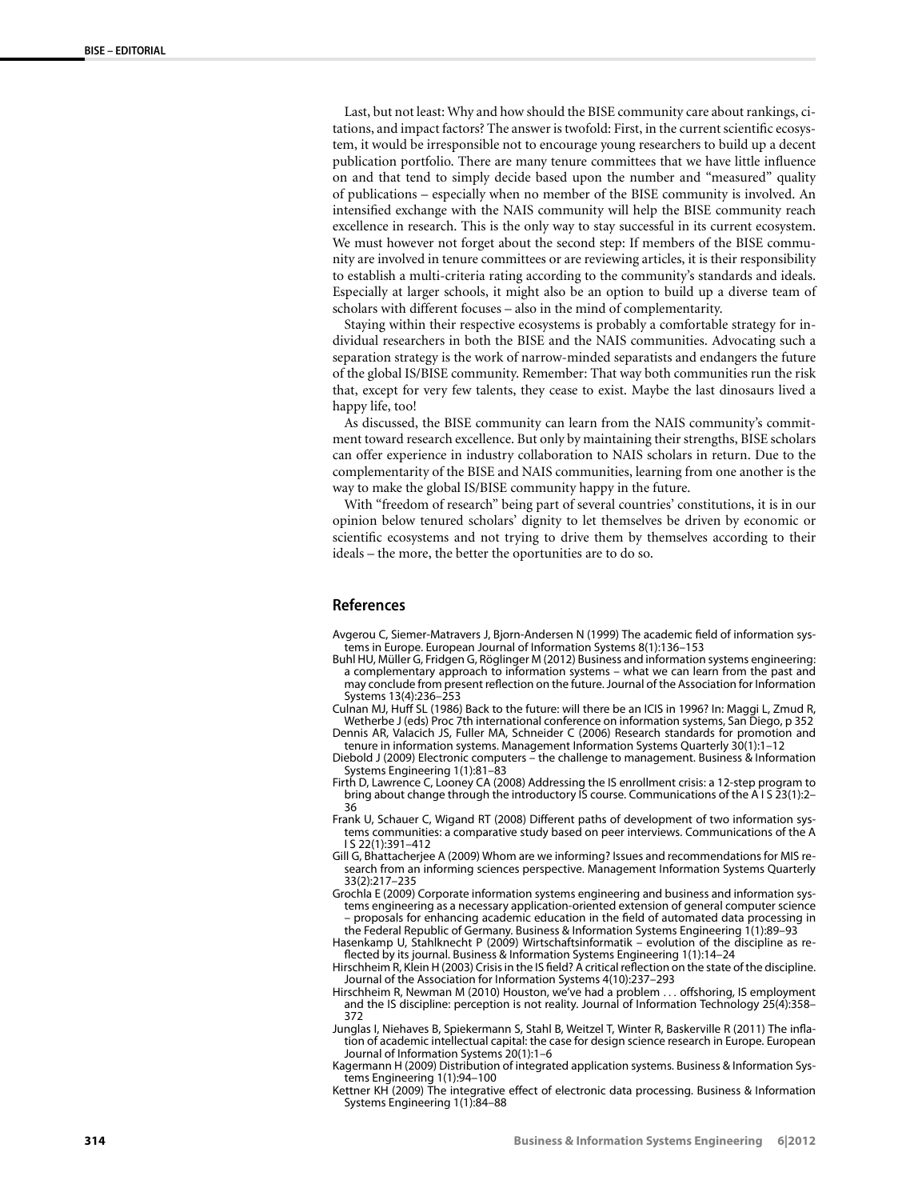Last, but not least: Why and how should the BISE community care about rankings, citations, and impact factors? The answer is twofold: First, in the current scientific ecosystem, it would be irresponsible not to encourage young researchers to build up a decent publication portfolio. There are many tenure committees that we have little influence on and that tend to simply decide based upon the number and "measured" quality of publications – especially when no member of the BISE community is involved. An intensified exchange with the NAIS community will help the BISE community reach excellence in research. This is the only way to stay successful in its current ecosystem. We must however not forget about the second step: If members of the BISE community are involved in tenure committees or are reviewing articles, it is their responsibility to establish a multi-criteria rating according to the community's standards and ideals. Especially at larger schools, it might also be an option to build up a diverse team of scholars with different focuses – also in the mind of complementarity.

Staying within their respective ecosystems is probably a comfortable strategy for individual researchers in both the BISE and the NAIS communities. Advocating such a separation strategy is the work of narrow-minded separatists and endangers the future of the global IS/BISE community. Remember: That way both communities run the risk that, except for very few talents, they cease to exist. Maybe the last dinosaurs lived a happy life, too!

As discussed, the BISE community can learn from the NAIS community's commitment toward research excellence. But only by maintaining their strengths, BISE scholars can offer experience in industry collaboration to NAIS scholars in return. Due to the complementarity of the BISE and NAIS communities, learning from one another is the way to make the global IS/BISE community happy in the future.

<span id="page-7-8"></span><span id="page-7-0"></span>With "freedom of research" being part of several countries' constitutions, it is in our opinion below tenured scholars' dignity to let themselves be driven by economic or scientific ecosystems and not trying to drive them by themselves according to their ideals – the more, the better the oportunities are to do so.

## <span id="page-7-7"></span><span id="page-7-4"></span>**References**

<span id="page-7-10"></span><span id="page-7-5"></span>Avgerou C, Siemer-Matravers J, Bjorn-Andersen N (1999) The academic field of information systems in Europe. European Journal of Information Systems 8(1):136–153

Buhl HU, Müller G, Fridgen G, Röglinger M (2012) Business and information systems engineering: a complementary approach to information systems – what we can learn from the past and may conclude from present reflection on the future. Journal of the Association for Information Systems 13(4):236–253

<span id="page-7-2"></span><span id="page-7-1"></span>Culnan MJ, Huff SL (1986) Back to the future: will there be an ICIS in 1996? In: Maggi L, Zmud R, Wetherbe J (eds) Proc 7th international conference on information systems, San Diego, p 352

Dennis AR, Valacich JS, Fuller MA, Schneider C (2006) Research standards for promotion and tenure in information systems. Management Information Systems Quarterly 30(1):1–12

<span id="page-7-12"></span>Diebold J (2009) Electronic computers – the challenge to management. Business & Information Systems Engineering 1(1):81–83

Firth D, Lawrence C, Looney CA (2008) Addressing the IS enrollment crisis: a 12-step program to bring about change through the introductory IS course. Communications of the A I S 23(1):2– 36

<span id="page-7-13"></span><span id="page-7-3"></span>Frank U, Schauer C, Wigand RT (2008) Different paths of development of two information systems communities: a comparative study based on peer interviews. Communications of the A I S 22(1):391–412

<span id="page-7-6"></span>Gill G, Bhattacherjee A (2009) Whom are we informing? Issues and recommendations for MIS research from an informing sciences perspective. Management Information Systems Quarterly 33(2):217–235

<span id="page-7-9"></span>Grochla E (2009) Corporate information systems engineering and business and information systems engineering as a necessary application-oriented extension of general computer science – proposals for enhancing academic education in the field of automated data processing in the Federal Republic of Germany. Business & Information Systems Engineering 1(1):89–93

<span id="page-7-14"></span>Hasenkamp U, Stahlknecht P (2009) Wirtschaftsinformatik – evolution of the discipline as reflected by its journal. Business & Information Systems Engineering 1(1):14–24

<span id="page-7-11"></span>Hirschheim R, Klein H (2003) Crisis in the IS field? A critical reflection on the state of the discipline. Journal of the Association for Information Systems 4(10):237–293

Hirschheim R, Newman M (2010) Houston, we've had a problem *...* offshoring, IS employment and the IS discipline: perception is not reality. Journal of Information Technology 25(4):358– 372

Junglas I, Niehaves B, Spiekermann S, Stahl B, Weitzel T, Winter R, Baskerville R (2011) The inflation of academic intellectual capital: the case for design science research in Europe. European Journal of Information Systems 20(1):1–6

Kagermann H (2009) Distribution of integrated application systems. Business & Information Systems Engineering 1(1):94–100

Kettner KH (2009) The integrative effect of electronic data processing. Business & Information Systems Engineering 1(1):84–88